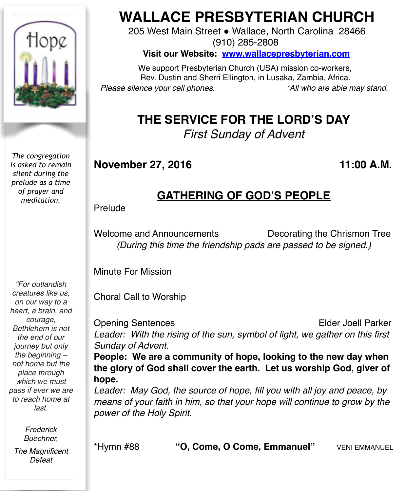

*The congregation is asked to remain silent during the prelude as a time of prayer and meditation.*

*"For outlandish creatures like us, on our way to a heart, a brain, and courage, Bethlehem is not the end of our journey but only the beginning – not home but the place through which we must pass if ever we are to reach home at last.*

> *Frederick Buechner,*

*The Magnificent Defeat*

# **WALLACE PRESBYTERIAN CHURCH**

205 West Main Street . Wallace, North Carolina 28466 (910) 285-2808

**Visit our Website: [www.wallacepresbyterian.com](http://www.wallacepresbyterian.com)**

 We support Presbyterian Church (USA) mission co-workers, Rev. Dustin and Sherri Ellington, in Lusaka, Zambia, Africa. *Please silence your cell phones. \*All who are able may stand.*

# **THE SERVICE FOR THE LORD'S DAY**

*First Sunday of Advent*

### **November 27, 2016 11:00 A.M.**

### **GATHERING OF GOD'S PEOPLE**

Prelude

Welcome and Announcements Decorating the Chrismon Tree *(During this time the friendship pads are passed to be signed.)*

Minute For Mission

Choral Call to Worship

Opening Sentences **Elder Joell Parker** Leader: With the rising of the sun, symbol of light, we gather on this first *Sunday of Advent.* **People: We are a community of hope, looking to the new day when the glory of God shall cover the earth. Let us worship God, giver of hope.**

*Leader: May God, the source of hope, fill you with all joy and peace, by means of your faith in him, so that your hope will continue to grow by the power of the Holy Spirit.*

\*Hymn #88 **"O, Come, O Come, Emmanuel"** VENI EMMANUEL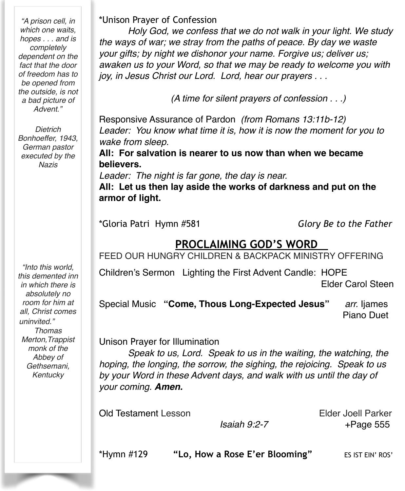*"A prison cell, in which one waits, hopes . . . and is completely dependent on the fact that the door of freedom has to be opened from the outside, is not a bad picture of Advent."*

*Dietrich Bonhoeffer, 1943, German pastor executed by the Nazis*

*"Into this world, this demented inn in which there is absolutely no room for him at all, Christ comes uninvited." Thomas Merton,Trappist monk of the Abbey of Gethsemani, Kentucky*

\*Unison Prayer of Confession

*Holy God, we confess that we do not walk in your light. We study the ways of war; we stray from the paths of peace. By day we waste your gifts; by night we dishonor your name. Forgive us; deliver us; awaken us to your Word, so that we may be ready to welcome you with joy, in Jesus Christ our Lord. Lord, hear our prayers . . .*

 *(A time for silent prayers of confession . . .)*

Responsive Assurance of Pardon *(from Romans 13:11b-12) Leader: You know what time it is, how it is now the moment for you to wake from sleep.*

**All: For salvation is nearer to us now than when we became believers.**

*Leader: The night is far gone, the day is near.*

**All: Let us then lay aside the works of darkness and put on the armor of light.**

\*Gloria Patri Hymn #581 *Glory Be to the Father*

### **PROCLAIMING GOD'S WORD**

FEED OUR HUNGRY CHILDREN & BACKPACK MINISTRY OFFERING

Children's Sermon Lighting the First Advent Candle: HOPE Elder Carol Steen

Special Music **"Come, Thous Long-Expected Jesus"** *arr.* Ijames Piano Duet

Unison Prayer for Illumination

*Speak to us, Lord. Speak to us in the waiting, the watching, the hoping, the longing, the sorrow, the sighing, the rejoicing. Speak to us by your Word in these Advent days, and walk with us until the day of your coming. Amen.*

Old Testament Lesson Elder Joell Parker

 *Isaiah 9:2-7* +Page 555

\*Hymn #129 **"Lo, How a Rose E'er Blooming"** ES IST EIN' ROS'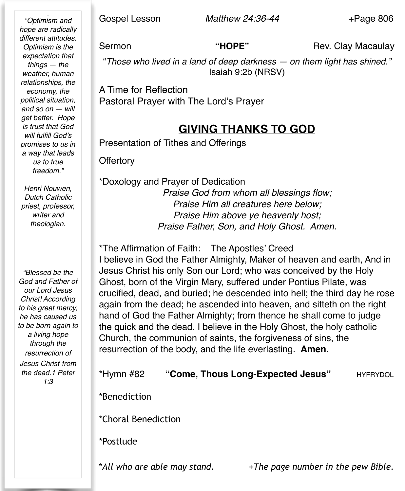Gospel Lesson *Matthew 24:36-44* +Page 806

*"Optimism and hope are radically different attitudes. Optimism is the expectation that things — the weather, human relationships, the economy, the political situation, and so on — will get better. Hope is trust that God will fulfill God's promises to us in a way that leads us to true freedom."*

*Henri Nouwen, Dutch Catholic priest, professor, writer and theologian.*

*"Blessed be the God and Father of our Lord Jesus Christ! According to his great mercy, he has caused us to be born again to a living hope through the resurrection of Jesus Christ from the dead.1 Peter 1:3*

Sermon **"HOPE"** Rev. Clay Macaulay

"*Those who lived in a land of deep darkness — on them light has shined."*  Isaiah 9:2b (NRSV)

A Time for Reflection Pastoral Prayer with The Lord's Prayer

### **GIVING THANKS TO GOD**

Presentation of Tithes and Offerings

**Offertory** 

\*Doxology and Prayer of Dedication *Praise God from whom all blessings flow; Praise Him all creatures here below; Praise Him above ye heavenly host; Praise Father, Son, and Holy Ghost. Amen.*

\*The Affirmation of Faith: The Apostles' Creed I believe in God the Father Almighty, Maker of heaven and earth, And in Jesus Christ his only Son our Lord; who was conceived by the Holy Ghost, born of the Virgin Mary, suffered under Pontius Pilate, was crucified, dead, and buried; he descended into hell; the third day he rose again from the dead; he ascended into heaven, and sitteth on the right hand of God the Father Almighty; from thence he shall come to judge the quick and the dead. I believe in the Holy Ghost, the holy catholic Church, the communion of saints, the forgiveness of sins, the resurrection of the body, and the life everlasting. **Amen.**

\*Hymn #82 **"Come, Thous Long-Expected Jesus"** HYFRYDOL \*Benediction \*Choral Benediction \*Postlude

\**All who are able may stand.* +*The page number in the pew Bible.*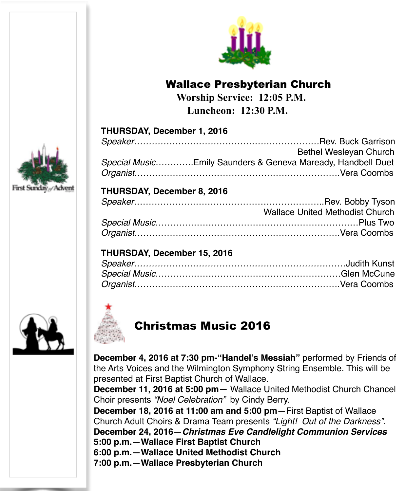

### Wallace Presbyterian Church

 **Worship Service: 12:05 P.M. Luncheon: 12:30 P.M.** 

| Firs<br>- 7<br>a. |
|-------------------|



|                                                             | Bethel Wesleyan Church |
|-------------------------------------------------------------|------------------------|
| Special MusicEmily Saunders & Geneva Maready, Handbell Duet |                        |
|                                                             |                        |

### **THURSDAY, December 8, 2016**

| <b>Wallace United Methodist Church</b> |
|----------------------------------------|
|                                        |
|                                        |

#### **THURSDAY, December 15, 2016**





### Christmas Music 2016

**December 4, 2016 at 7:30 pm-"Handel's Messiah"** performed by Friends of the Arts Voices and the Wilmington Symphony String Ensemble. This will be presented at First Baptist Church of Wallace.

**December 11, 2016 at 5:00 pm—** Wallace United Methodist Church Chancel Choir presents *"Noel Celebration"* by Cindy Berry.

**December 18, 2016 at 11:00 am and 5:00 pm—**First Baptist of Wallace Church Adult Choirs & Drama Team presents *"Light! Out of the Darkness"*. **December 24, 2016—***Christmas Eve Candlelight Communion Services* **5:00 p.m.—Wallace First Baptist Church 6:00 p.m.—Wallace United Methodist Church**

**7:00 p.m.—Wallace Presbyterian Church**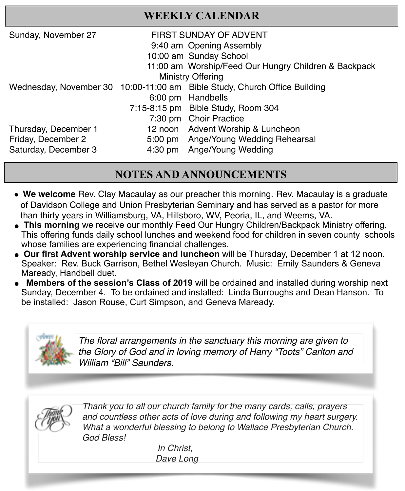### **WEEKLY CALENDAR**

| Sunday, November 27      | <b>FIRST SUNDAY OF ADVENT</b> |                                                                           |  |  |
|--------------------------|-------------------------------|---------------------------------------------------------------------------|--|--|
|                          | 9:40 am Opening Assembly      |                                                                           |  |  |
|                          | 10:00 am Sunday School        |                                                                           |  |  |
|                          |                               | 11:00 am Worship/Feed Our Hungry Children & Backpack                      |  |  |
| <b>Ministry Offering</b> |                               |                                                                           |  |  |
|                          |                               | Wednesday, November 30 10:00-11:00 am Bible Study, Church Office Building |  |  |
|                          |                               | 6:00 pm Handbells                                                         |  |  |
|                          |                               | 7:15-8:15 pm Bible Study, Room 304                                        |  |  |
|                          |                               | 7:30 pm Choir Practice                                                    |  |  |
| Thursday, December 1     |                               | 12 noon Advent Worship & Luncheon                                         |  |  |
| Friday, December 2       | $5:00 \text{ pm}$             | Ange/Young Wedding Rehearsal                                              |  |  |
| Saturday, December 3     |                               | 4:30 pm Ange/Young Wedding                                                |  |  |
|                          |                               |                                                                           |  |  |

### **NOTES AND ANNOUNCEMENTS**

- " **We welcome** Rev. Clay Macaulay as our preacher this morning. Rev. Macaulay is a graduate of Davidson College and Union Presbyterian Seminary and has served as a pastor for more than thirty years in Williamsburg, VA, Hillsboro, WV, Peoria, IL, and Weems, VA.
- **This morning** we receive our monthly Feed Our Hungry Children/Backpack Ministry offering. This offering funds daily school lunches and weekend food for children in seven county schools whose families are experiencing financial challenges.
- ● **Our first Advent worship service and luncheon** will be Thursday, December 1 at 12 noon. Speaker: Rev. Buck Garrison, Bethel Wesleyan Church. Music: Emily Saunders & Geneva Maready, Handbell duet.
- **Members of the session's Class of 2019** will be ordained and installed during worship next Sunday, December 4. To be ordained and installed: Linda Burroughs and Dean Hanson. To be installed: Jason Rouse, Curt Simpson, and Geneva Maready.



*The floral arrangements in the sanctuary this morning are given to the Glory of God and in loving memory of Harry "Toots" Carlton and William "Bill" Saunders.*



*Thank you to all our church family for the many cards, calls, prayers and countless other acts of love during and following my heart surgery. What a wonderful blessing to belong to Wallace Presbyterian Church. God Bless!* 

> In Christ, Dave Long